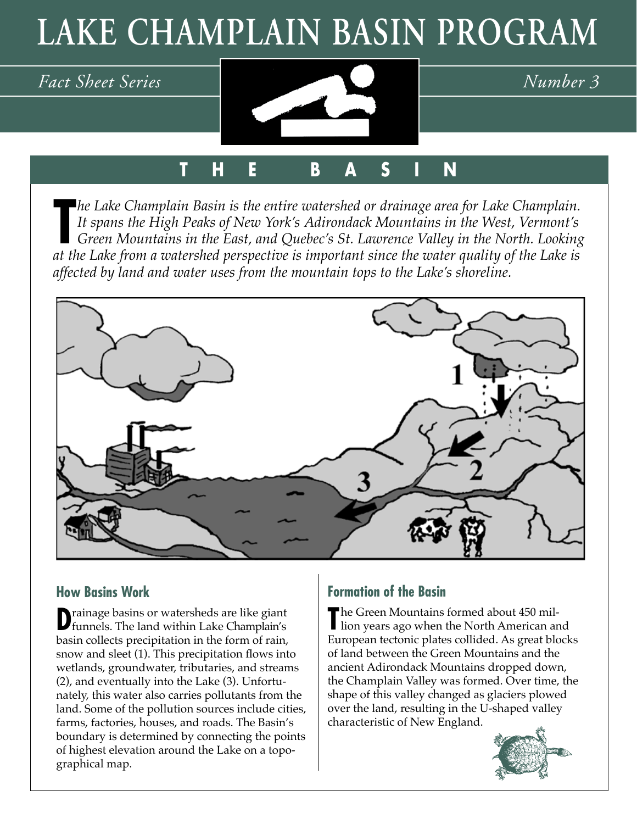# **LAKE CHAMPLAIN BASIN PROGRAM**



# **T H E B A S I N**

 $\frac{1}{a}$ *he Lake Champlain Basin is the entire watershed or drainage area for Lake Champlain. It spans the High Peaks of New York's Adirondack Mountains in the West, Vermont's Green Mountains in the East, and Quebec's St. Lawrence Valley in the North. Looking at the Lake from a watershed perspective is important since the water quality of the Lake is affected by land and water uses from the mountain tops to the Lake's shoreline.*



## **How Basins Work**

**D**rainage basins or watersheds are like giant funnels. The land within Lake Champlain's basin collects precipitation in the form of rain, snow and sleet (1). This precipitation flows into wetlands, groundwater, tributaries, and streams (2), and eventually into the Lake (3). Unfortunately, this water also carries pollutants from the land. Some of the pollution sources include cities, farms, factories, houses, and roads. The Basin's boundary is determined by connecting the points of highest elevation around the Lake on a topographical map.

## **Formation of the Basin**

The Green Mountains formed about 450 mil-<br>lion years ago when the North American are I lion years ago when the North American and European tectonic plates collided. As great blocks of land between the Green Mountains and the ancient Adirondack Mountains dropped down, the Champlain Valley was formed. Over time, the shape of this valley changed as glaciers plowed over the land, resulting in the U-shaped valley characteristic of New England.

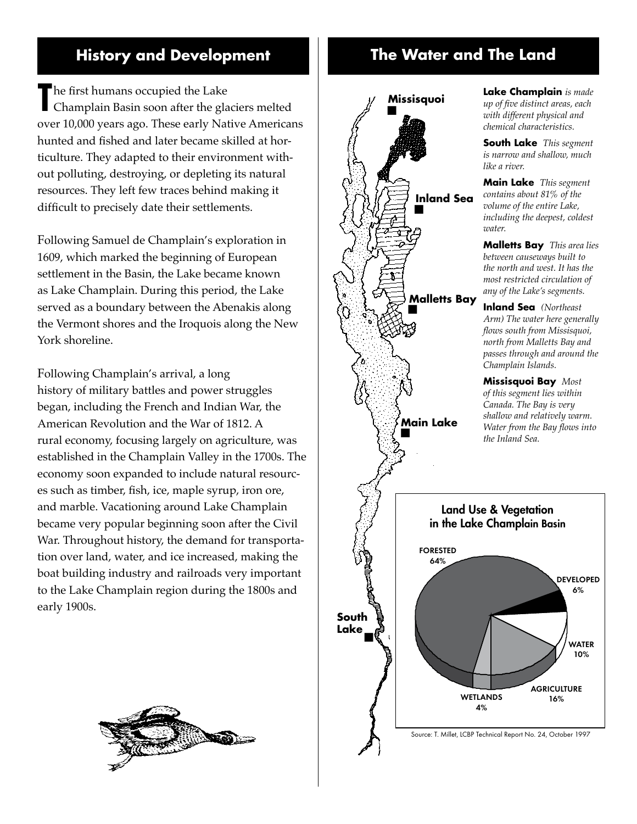# **History and Development The Water and The Land**

The first humans occupied the Lake<br>
Champlain Basin soon after the gla Champlain Basin soon after the glaciers melted over 10,000 years ago. These early Native Americans hunted and fished and later became skilled at horticulture. They adapted to their environment without polluting, destroying, or depleting its natural resources. They left few traces behind making it difficult to precisely date their settlements.

Following Samuel de Champlain's exploration in 1609, which marked the beginning of European settlement in the Basin, the Lake became known as Lake Champlain. During this period, the Lake served as a boundary between the Abenakis along the Vermont shores and the Iroquois along the New York shoreline.

Following Champlain's arrival, a long history of military battles and power struggles began, including the French and Indian War, the American Revolution and the War of 1812. A rural economy, focusing largely on agriculture, was established in the Champlain Valley in the 1700s. The economy soon expanded to include natural resources such as timber, fish, ice, maple syrup, iron ore, and marble. Vacationing around Lake Champlain became very popular beginning soon after the Civil War. Throughout history, the demand for transportation over land, water, and ice increased, making the boat building industry and railroads very important to the Lake Champlain region during the 1800s and early 1900s.





**Lake Champlain** *is made up of five distinct areas, each with different physical and chemical characteristics.*

**South Lake** *This segment is narrow and shallow, much* 

**Main Lake** *This segment contains about 81% of the volume of the entire Lake, including the deepest, coldest* 

**Malletts Bay** *This area lies between causeways built to the north and west. It has the most restricted circulation of any of the Lake's segments.*

**Inland Sea** *(Northeast Arm) The water here generally flows south from Missisquoi, north from Malletts Bay and passes through and around the Champlain Islands.*

**Missisquoi Bay** *Most of this segment lies within Canada. The Bay is very shallow and relatively warm. Water from the Bay flows into* 



Source: T. Millet, LCBP Technical Report No. 24, October 1997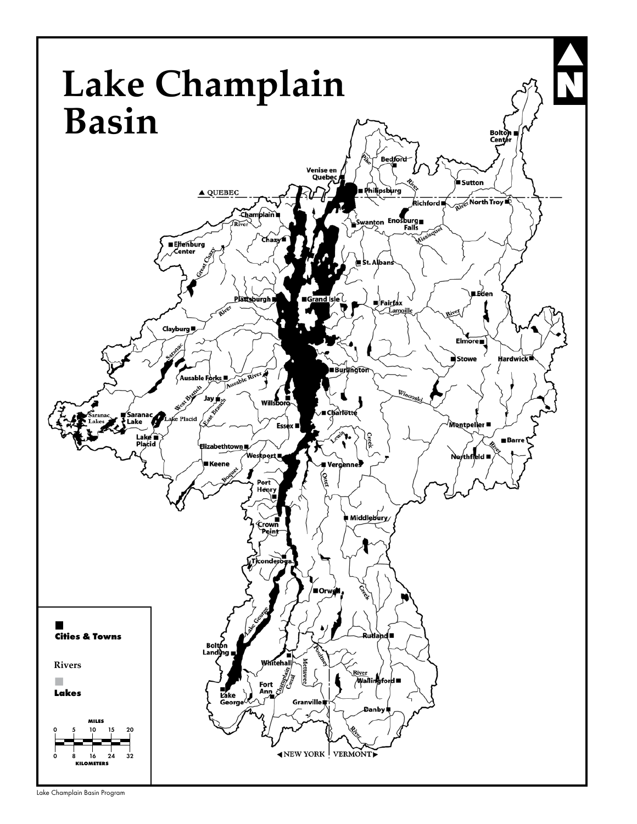

Lake Champlain Basin Program